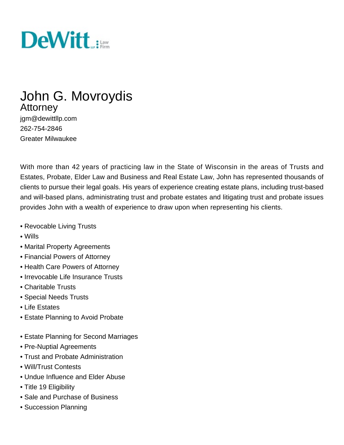

# John G. Movroydis **Attorney**

jgm@dewittllp.com 262-754-2846 Greater Milwaukee

With more than 42 years of practicing law in the State of Wisconsin in the areas of Trusts and Estates, Probate, Elder Law and Business and Real Estate Law, John has represented thousands of clients to pursue their legal goals. His years of experience creating estate plans, including trust-based and will-based plans, administrating trust and probate estates and litigating trust and probate issues provides John with a wealth of experience to draw upon when representing his clients.

- Revocable Living Trusts
- Wills
- Marital Property Agreements
- Financial Powers of Attorney
- Health Care Powers of Attorney
- Irrevocable Life Insurance Trusts
- Charitable Trusts
- Special Needs Trusts
- Life Estates
- Estate Planning to Avoid Probate
- Estate Planning for Second Marriages
- Pre-Nuptial Agreements
- Trust and Probate Administration
- Will/Trust Contests
- Undue Influence and Elder Abuse
- Title 19 Eligibility
- Sale and Purchase of Business
- Succession Planning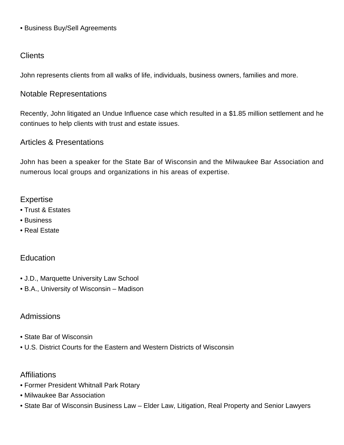• Business Buy/Sell Agreements

### **Clients**

John represents clients from all walks of life, individuals, business owners, families and more.

# Notable Representations

Recently, John litigated an Undue Influence case which resulted in a \$1.85 million settlement and he continues to help clients with trust and estate issues.

#### Articles & Presentations

John has been a speaker for the State Bar of Wisconsin and the Milwaukee Bar Association and numerous local groups and organizations in his areas of expertise.

#### Expertise

- [Trust & Estates](http://www.dewittllp.com/expertise/trusts-and-estates-attorney-services-madison-milwaukee-minneapolis)
- Business
- Real Estate

# **Education**

- J.D., Marquette University Law School
- B.A., University of Wisconsin Madison

#### Admissions

- State Bar of Wisconsin
- U.S. District Courts for the Eastern and Western Districts of Wisconsin

#### **Affiliations**

- Former President Whitnall Park Rotary
- Milwaukee Bar Association
- State Bar of Wisconsin Business Law Elder Law, Litigation, Real Property and Senior Lawyers